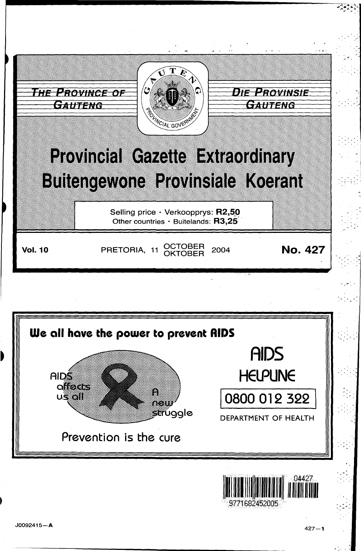

 $\mathcal{L}^{\mathcal{P}}\left( \mathcal{L}^{\mathcal{P}}\right)$ 

..

... .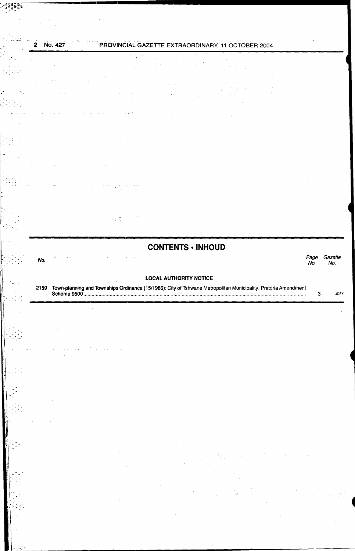## 2 No. 427 PROVINCIAL GAZETTE EXTRAORDINARY, 11 OCTOBER 2004

"~f~~.;:: .... ;;,;~~-----------------------······················· .. ~·-~ ~ ... ~~:'~',

# $\bar{z}$  $\bar{z}$  $\frac{1}{\sqrt{2}}$

I

 $\mathbb{R}^+$ 

 $\sum_{i=1}^{n} \sum_{j=1}^{n} \alpha_{ij}$ 

 $\frac{1}{2}$ ,  $\frac{1}{2}$ 

 $\| \cdot \cdot \cdot \|$ 

. . . . . . . . . . .

11 M

 $\alpha\in\mathbb{C}^{\mathbb{Z}}$  ,

# **CONTENTS • INHOUD**  No. Page Gazette

Page Gazet.<br>No. No.

### LOCAL AUTHORITY NOTICE

| 2159 Town-planning and Townships Ordinance (15/1986): City of Tshwane Metropolitan Municipality: Pretoria Amendment<br>3<br>.                     | 427 |
|---------------------------------------------------------------------------------------------------------------------------------------------------|-----|
| $\mathcal{L}^{\mathcal{L}}$ and $\mathcal{L}^{\mathcal{L}}$ are $\mathcal{L}^{\mathcal{L}}$ . The contribution of the $\mathcal{L}^{\mathcal{L}}$ |     |
|                                                                                                                                                   |     |
| المناولات المساري فاستشار السارية والمتقدمة السبتان فالتاريخ                                                                                      |     |
|                                                                                                                                                   |     |
|                                                                                                                                                   |     |
|                                                                                                                                                   |     |
|                                                                                                                                                   |     |
| service and the control of the service<br>$\sim$                                                                                                  |     |
| $\mathcal{A}=\frac{1}{2}$ , $\mathcal{A}=\frac{1}{2}$<br>and the contract of the<br>$\sim 100$ km s $^{-1}$<br><b>Contractor</b>                  |     |
|                                                                                                                                                   |     |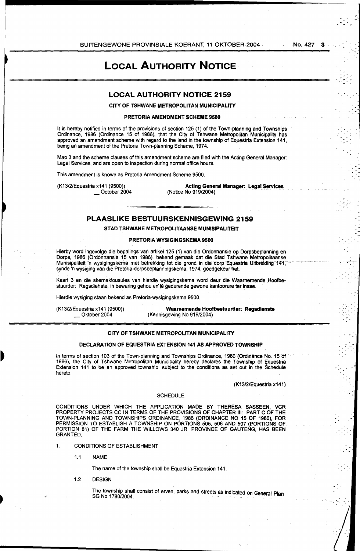**LOCAL AUTHORITY NOTICE** 

### **LOCAL AUTHORITY NOTICE 2159**

CITY OF TSHWANE METROPOLITAN MUNICIPALITY

### PRETORIA AMENDMENT SCHEME 9500

It is hereby notified in terms of the provisions of section 125 (1) of the Town-planning and Townships Ordinance, 1986 (Ordinance 15 of 1986), that the City of Tshwane Metropolitan Municipality has approved an amendment scheme with regard to the land in the township of Equestria Extension 141, being an amendment of the Pretoria Town-planning Scheme, 1974.

Map 3 and the scheme clauses of this amendment scheme are filed with the Acting General Manager: Legal Services, and are open to inspection during normal office hours.

This amendment is known as Pretoria Amendment Scheme 9500.

(K13/2/Equestria x141 (9500)) October 2004

Acting General Manager: Legal Services (Notice No 919/2004)

### **PLAASLIKE BESTUURSKENNISGEWING 2159**

STAD TSHWANE METROPOLITAANSE MUNISIPALITEIT

### PRETORIA WYSIGINGSKEMA 9500

Hierby word ingevolge die bepalings vari artikel 125 (1) van die Ordonnansie op Dorpsbeplanning en Dorpe, 1986 (Ordonnansie 15 van 1986), bekend gemaak dat die Stad Tshwane Metropolitaanse Munisipaliteit 'n wysigingskema met betrekking tot die grand in die dorp Equestria Uitbrelding·141; ·· synde 'n wysiging van die Pretoria-dorpsbeplanningskema, 1974, goedgekeur het.

Kaart 3 en die skemaklousules van hierdie wysigingskema word deur die Waamemende Hoofbestuurder: Regsdienste, in bewaring gehou en Iê gedurende gewone kantoorure ter insae.

Hierdie wysiging staan bekend as Pretoria-wysigingskema 9500.

(K13/2/Equestria x141 (9500)) Oktober 2004

Waarnemende Hoofbestuurder: Regsdienste (Kennisgewing No 919/2004)

### CITY OF TSHWANE METROPOLITAN MUNICIPALITY

### DECLARATION OF EQUESTRIA EXTENSION 141 AS APPROVED TOWNSHIP

In terms of section 103 of the Town-planning and Townships Ordinance, 1986 (Ordinance No. 15 of 1986), the City of Tshwane Metropolitan Municipality hereby declares the Township of Equestria Extension 141 to be an approved township, subject to the conditions as set out in the Schedule hereto.

(K13/2/Equestria x141)

### **SCHEDULE**

CONDITIONS UNDER WHICH THE APPLICATION MADE BY THERESA SASSEEN, VCR PROPERTY PROJECTS CC IN TERMS OF THE PROVISIONS OF CHAPTER Ill: PART C OF THE TOWN-PLANNING AND TOWNSHIPS ORDINANCE, 1986 (ORDINANCE NO 15 OF 1986), FOR PERMISSION TO ESTABLISH A TOWNSHIP ON PORTIONS 505, 506 AND 507 (PORTIONS OF PORTION 81) OF THE FARM THE WILLOWS 340 JR, PROVINCE OF GAUTENG, HAS BEEN GRANTED.

- 1. CONDITIONS OF ESTABLISHMENT
	- 1.1 NAME

The name of the township shall be Equestria Extension 141.

1.2 DESIGN

The township shall consist of erven, parks and streets as indicated on General Plan<br>SG No 1780/2004.

. <sup>~</sup>  $\mathcal{L} \bullet \mathcal{I}_\mathcal{A}$ 

.....

 $\int$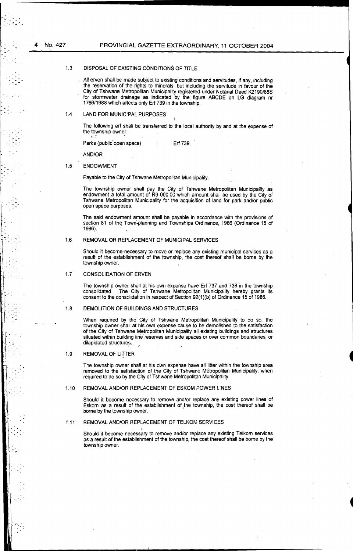### 1.3 DISPOSAL OF EXISTING CONDITIONS OF TITLE

All erven shall be made subject to existing conditions and servitudes, if any, including the reservation of the rights to minerals, but including the servitude in favour of the City of Tshwane Metropolitan Municipality registered under Notarial Deed K2190/88S for stormwater drainage as indicated by the figure ABCDE on LG diagram nr 1766/1988 which affects only Erf 739 in the township.

### 1.4 LAND FOR MUNICIPAL PURPOSES

 $\cdot \cdot \cdot$  ;  $\cdot \cdot \cdot$  ;  $\cdot \cdot \cdot$  ;  $\cdot \cdot \cdot$  ;  $\cdot \cdot \cdot$  ;  $\cdot \cdot \cdot$  ;  $\cdot \cdot \cdot$  ;  $\cdot \cdot \cdot$  ;  $\cdot \cdot \cdot$  ;  $\cdot \cdot \cdot$  ;  $\cdot \cdot \cdot$  ;  $\cdot \cdot \cdot$  ;  $\cdot \cdot \cdot$  ;  $\cdot \cdot \cdot$  ;  $\cdot \cdot \cdot$  ;  $\cdot \cdot \cdot \cdot$  ;  $\cdot \cdot \cdot \cdot$  ;  $\cdot \cdot \cdot \cdot \cdot$  ;  $\cdot \cdot \cdot \cdot \cdot \cdot$ 

The following erf shall be transferred to the local authority by and at the expense of the township owner:

Parks (public open space) Erf 739.

AND/OR

#### 1.5 ENDOWMENT

Payable to the City of Tshwane Metropolitan Municipality.

The township owner shall pay the City of Tshwane Metropolitan Municipality as endowment a total amount of R9 000,00 which amount shall be used by the City of Tshwane Metropolitan Municipality for the acquisition of land for park and/or public open space purposes.

The said endowment amount shall be payable. in accordance with the provisions of section 81 of the Town-planning and Townships Ordinance, 1986 (Ordinance 15 of 1986).

#### 1.6 REMOVAL OR REPLACEMENT OF MUNICIPAL SERVICES

Should it become necessary to move or replace any existing municipal services as a result of the establishment of the township, the cost thereof shall be borne by the township owner.

#### 1.7 CONSOLIDATION OF ERVEN

The township owner shall at his own expense have Erf 737 and 738 in the township consolidated. The City of Tshwane Metropolitan Municipality hereby grants its consent to the consolidation in respect of Section 92(1 )(b) of Ordinance 15 of 1986.

#### 1.8 DEMOLITION OF BUILDINGS AND STRUCTURES

When required by the City of Tshwane Metropolitan Municipality to do so, the township owner shall at his own expense cause to be demolished to the satisfaction of the City of Tshwane Metropolitan Municipality all existing buildings and structures situated within building line reserves and side spaces or over common boundaries, or dilapidated structures.

#### 1.9 REMOVAL OF LITTER

 $\mathcal{L}^{\text{max}}_{\text{max}}$ 

The township owner shall at his own expense have all litter within the township area removed to the satisfaction of the City of Tshwane Metropolitan Municipality, when required to do so by the City of Tshwane Metropolitan Municipality.

#### 1.10 REMOVAL AND/OR REPLACEMENT OF ESKOM POWER LINES

Should it become necessary to remove and/or replace any existing power lines of Eskom as a result of the establishment of the township, the cost thereof shall be borne by the township owner.

#### 1.11 REMOVAL AND/OR REPLACEMENT OF TELKOM SERVICES

Should it become necessary to remove and/or replace any existing Telkom services as a result of the establishment of the township, the cost thereof shall be borne by the township owner.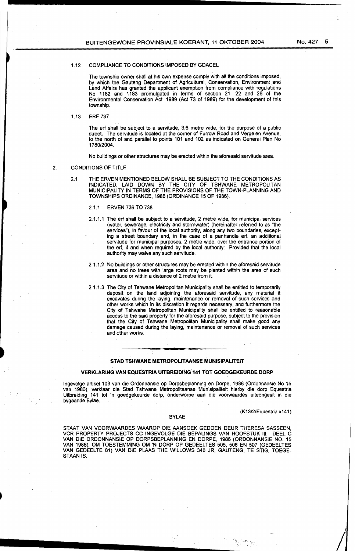### 1.12 COMPLIANCE TO CONDITIONS IMPOSED BY GDACEL

The township owner shall at his own expense comply with all the conditions imposed, by which the Gauteng Department of Agricultural, Conservation, Environment and Land Affairs has granted the applicant exemption from compliance with regulations No 1182 and 1183 promulgated in terms of section 21, 22 and 26 of the Environmental Conservation Act, 1989 (Act 73 of 1989) for the development of this township.

1.13 ERF 737

The erf shall be subject to a servitude, 3,6 metre wide, for the purpose of a public street. The servitude is located at the corner of Furrow Road and Vergelen Avenue, to the north of and parallel to points 101 and 102 as indicated on General Plan No 1780/2004.

No buildings or other structures may be erected within the aforesaid servitude area.

### 2. CONDITIONS OF TITLE

-

- 2.1 THE ERVEN MENTIONED BELOW SHALL BE SUBJECT TO THE CONDITIONS AS INDICATED, LAID DOWN BY THE CITY OF TSHWANE METROPOLITAN MUNICIPALITY IN TERMS OF THE PROVISIONS OF THE TOWN-PLANNING AND TOWNSHIPS ORDINANCE, 1986 (ORDINANCE 15 OF 1986):
	- 2.1.1 ERVEN 736 TO 738
	- 2.1.1.1 The erf shall be subject to a servitude, 2 metre wide, for municipal services (water, sewerage, electricity and stormwater) (hereinafter referred to as "the services"), in favour of the local authority, along any two boundaries, excepting a street boundary and, in the case of a panhandle erf, an additional servitude for municipal purposes, 2 metre wide, over the entrance portion of the erf, if and when required by the local authority: Provided that the local authority may waive any such servitude.
	- 2.1.1.2 No buildings or other structures may be erected within the aforesaid servitude area and no trees with large roots may be planted within the area of such servitude or within a distance of 2 metre from it.
	- 2.1.1. 3 The City of Tshwane Metropolitan Municipality shall be entitled to temporarily deposit on the land adjoining the aforesaid servitude, any material it excavates during the laying, maintenance or removal of such services and other works which in its discretion it regards necessary, and furthermore the City of Tshwahe Metropolitan Municipality shall be entitled to reasonable access to the said property for the aforesaid purpose, subject to the provision that the City of Tshwane Metropolitan Municipality shall make good any damage caused during the laying, maintenance or removal of such services and other works.

### STAD TSHWANE METROPOLITAANSE MUNISIPALITEIT

### VERKLARING VAN EQUESTRIA UITBREIDING 141 TOT GOEDGEKEURDE DORP

lngevolge artikel 103 van die Ordonnansie op Dorpsbeplanning en Dorpe, 1986 (Ordonnansie No 15 van 1986), verklaar die Stad Tshwane Metropolitaanse Munisipaliteit hierby die dorp Equestria Uitbreiding 141 tot 'n goedgekeurde dorp, onderworpe aan die voorwaardes uiteengesit in die bygaande Bylae.

### (K13/2/Equestria x141)

### BYLAE

STAAT VAN VOORWAARDES WAAROP DIE AANSOEK GEDOEN DEUR THERESA SASSEEN, VCR PROPERTY PROJECTS CC INGEVOLGE DIE BEPALINGS VAN HOOFSTUK Ill: DEEL C VAN DIE ORDONNANSIE OP DORPSBEPLANNING EN DORPE, 1986 (ORDONNANSIE NO. 15 VAN 1986), OM TOESTEMMING OM 'N DORP OP GEDEELTES 505, 506 EN 507 (GEDEELTES VAN GEDEELTE 81) VAN DIE PLAAS THE WILLOWS 340 JR, GAUTENG, TE STIG, TOEGE-STAAN IS.

---------~···.···>;· ... , ... ··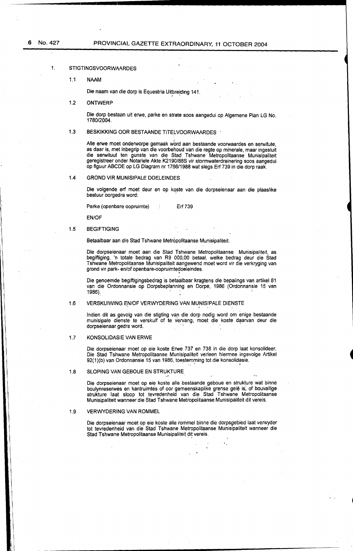### 1. STIGTINGSVOORWAARDES

1.1 NAAM

Die naam van die dorp is Equestria Uitbreiding 141.

1.2 ONTWERP

Die dorp bestaan uit erwe, parke en strate soos aangedui op Algemene Plan LG No. 1780/2004.

### 1.3 BESKIKKING OOR BESTAANDE TITELVOORWAARDES ·

Alle erwe moet onderworpe gemaak word aan bestaande voorwaardes en serwitute, as daar is, met inbegrip van die voorbehoud van die regte op minerale, maar ingesluit die serwituut ten gunste van die Stad Tshwane Metropolitaanse Munisipaliteit geregistreer onder Notariele Akte K2190/88S vir stormwaterdreinering soos aangedui op figuur ABCDE: op LG Diagram nr 1766/1988 wat slegs Erf 739 in die dorp raak.

### 1.4 GROND VIR MUNISIPALE DOELEINDES

Die volgende erf moet deur en op koste van die dorpseienaar aan die plaaslike bestuur oorgedra word:

Parke (openbare oopruimte) : Erf 739

EN/OF

### 1.5 BEGIFTIGING

Betaalbaar aan die Stad Tshwane Metropolitaanse Munisipaliteit.

Die dorpseienaar meet aan die Stad Tshwane Metropolitaanse Munisipaliteit, as begiftiging, 'n totale bedrag van R9 000,00 betaal, welke bedrag deur die Stad Tshwane Metropolitaanse Munisipaliteit aangewend moet word vir die verkryging van grond vir park- en/of openbare-oopruimtedoeleindes.

' Die genoemde begiftigingsbedrag is betaalbaar kragtens die bepalings van artikel 81 van die Ordonnansie op Dorpsbeplanning en Dorpe, 1986 (Ordonnansie 15 van 1986):

### 1.6 VERSKUIWING EN/OF VERWYDERING VAN MUNISIPALE DIENSTE

lndien dit as gevolg van die stigting van die dorp nodig word om enige bestaande munisipale dienste· te verskuif of te vervang, moet die koste daarvan deur die dorpseienaar gedra word.

### 1.7 KONSOLIDASIE VAN ERWE

Die dorpseienaar moet op eie koste Erwe 737 en 738 in die dorp laat konsolideer. Die Stad Tshwane Metropolitaanse Munisipaliteit verleen hiermee ingevolge Artikel 92(1)(b) van Ordonnansie 15 van 1986, toestemming tot die konsolidasie.

### 1.8 SLOPING VAN GEBOUE EN STRUKTURE

Die dorpseienaar meet op eie koste aile bestaande geboue en strukture wat binne boulynreserwes en kantruimtes of oor gemeenskaplike grense gelê is, of bouvallige strukture · laat sloop tot tevredenheid van die Stad Tshwane Metropolitaanse Munisipaliteit wanneer die Stad Tshwane Metropolitaanse Munisipaliteit dit vereis.

### 1.9 VERWYDERING VAN ROMMEL

Die dorpseienaar moet op eie koste alle rommel binne die dorpsgebied laat verwyder tot tevredenheid van die Stad Tshwane Metropolitaanse Munisipaliteit wanneer die Stad Tshwane Metropolitaanse Munisipaliteit dit vereis.

•,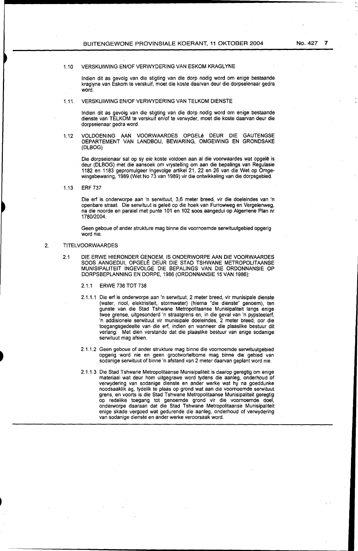lndien dit as gevolg van die stigting van die dorp nodig word om enige bestaande kraglyne van Eskom te verskuif, moet die koste daarvan deur die dorpseienaar gedra word.

### 1.11 VERSKUIWING EN/OF VERWYDERING VAN TELKOM DIENSTE

lndien dit as gevolg van die stigting van die dorp nodig word om enige bestaande dienste van TELKOM te verskuif en/of te verwyder, moet die koste daarvan deur die dorpseienaar gedra word.

1.12 VOLDOENING AAN VOORWAARDES OPGELe DEUR DIE GAUTENGSE DEPARTEMENT VAN LANDBOU, BEWARING, OMGEWING EN GRONDSAKE (DLBOG)

Die dorpseienaar sal op sy eie koste voldoen aan al die voorwaardes wat opgelê is deur (DLBOG) met die aansoek om vrystelling om aan die bepalings van Regulasie 1182 en 1183 gepromulgeer ingevolge artikel 21, 22 en 26 van die Wet op Omgewingsbewaring, 1989 (Wet No 73 van 1989) vir die ontwikkeling van die dorpsgebied.

1.13 ERF 737

Die erf is onderworpe aan 'n serwituut, 3,6 meter breed, vir die doeleindes van 'n openbare straat. Die serwituut is geleë op die hoek van Furrowweg en Vergelenweg, na die noorde en paralel met punte 101 en 102 soos aangedui op Algemene Plan nr 1780/2004.

Geen geboue of ander strukture mag binne die voornoemde serwituutgebied opgerig word nie.

### 2. TITELVOORWAARDES

2.1 DIE ERWE HIERONDER GENOEM, IS ONDERWORPE AAN DIE VOORWAARDES SOOS AANGEDUI, OPGELE DEUR DIE STAD TSHWANE METROPOLITAANSE MUNISIPALITEIT INGEVOLGE DIE BEPALINGS VAN DIE ORDONNANSIE OP DORPSBEPLANNING EN DORPE, 1986 (ORDONNANSIE 15 VAN 1986):

2. 1. 1 ERWE 736 TOT 738

- 2.1.1.1 Die erf is onderworpe aan 'n serwituut, 2 meter breed, vir munisipale dienste (water, riool, elektrisiteit, stormwater) (hierna "die dienste" genoem), ten gunste van die Stad Tshwane Metropolitaanse. Munisipaliteit langs enige twee grense, uitgesonderd 'n straatgrens en, in die geval van 'n pypsteelerf, 'n addisionele serwituut vir munisipale doeleindes, 2 meter breed, oor die toegangsgedeelte van die erf, indien en wanneer die plaaslike bestuur dit verlang: Met dien verstande dat die plaaslike bestuur van enige sodanige serwituut mag afsien.
- 2.1.1.2 Geen geboue of ander strukture mag binne die voornoemde serwituutgebied opgerig word nie en geen grootwortelbome mag binne die gebied van sodanige serwituut of binne 'n afstand van 2 meter daarvan geplant word nie.
- 2.1.1.3 Die Stad Tshwane Metropolitaanse Munisipaliteit is daarop geregtig om enige materiaal wat deur hom uitgegrawe word tydens die aanleg, onderhoud of verwydering van sodanige dienste en ander werke wat hy na goeddunke noodsaaklik ag, tydelik te plaas op grond wat aan die voornoemde serwituut grens, en voorts is die Stad Tshwane Metropolitaanse Munisipaliteit geregtig op redelike toegang tot genoemde grond vir die voornoemde doel, onderworpe daaraan dat die Stad Tshwane Metropolitaanse Munisipaliteit enige skade vergoed wat gedurende die aanleg, onderhoud of verwydering van sodanige dienste en ander werke veroorsaak word.